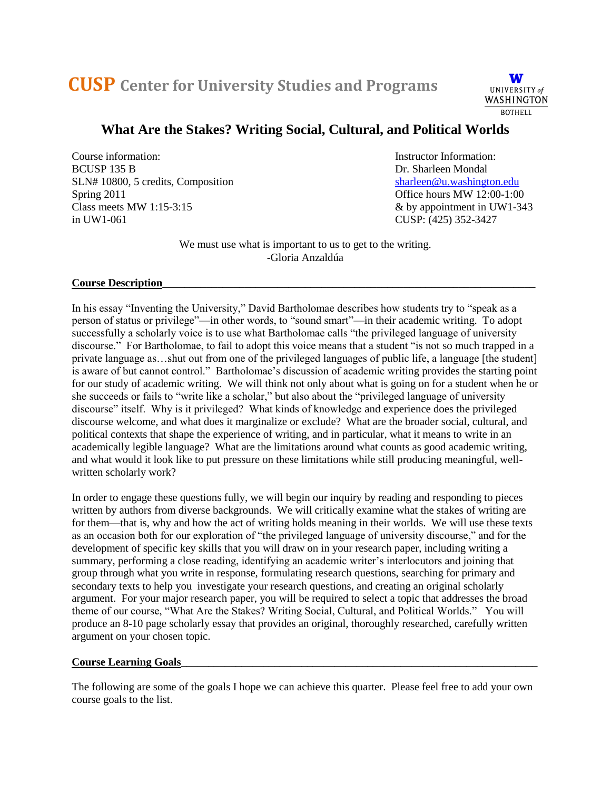# **CUSP Center for University Studies and Programs**



# **What Are the Stakes? Writing Social, Cultural, and Political Worlds**

Course information: Instructor Information: BCUSP 135 B Dr. Sharleen Mondal SLN# 10800, 5 credits, Composition [sharleen@u.washington.edu](mailto:sharleen@u.washington.edu) Spring 2011<br>
Class meets MW 1:15-3:15<br>  $\&$  by appointment in UW1-34 in UW1-061 CUSP: (425) 352-3427

 $&$  by appointment in UW1-343

We must use what is important to us to get to the writing. -Gloria Anzaldúa

#### **Course Description\_\_\_\_\_\_\_\_\_\_\_\_\_\_\_\_\_\_\_\_\_\_\_\_\_\_\_\_\_\_\_\_\_\_\_\_\_\_\_\_\_\_\_\_\_\_\_\_\_\_\_\_\_\_\_\_\_\_\_\_\_\_\_\_\_\_\_\_**

In his essay "Inventing the University," David Bartholomae describes how students try to "speak as a person of status or privilege"—in other words, to "sound smart"—in their academic writing. To adopt successfully a scholarly voice is to use what Bartholomae calls "the privileged language of university discourse." For Bartholomae, to fail to adopt this voice means that a student "is not so much trapped in a private language as…shut out from one of the privileged languages of public life, a language [the student] is aware of but cannot control." Bartholomae's discussion of academic writing provides the starting point for our study of academic writing. We will think not only about what is going on for a student when he or she succeeds or fails to "write like a scholar," but also about the "privileged language of university discourse" itself. Why is it privileged? What kinds of knowledge and experience does the privileged discourse welcome, and what does it marginalize or exclude? What are the broader social, cultural, and political contexts that shape the experience of writing, and in particular, what it means to write in an academically legible language? What are the limitations around what counts as good academic writing, and what would it look like to put pressure on these limitations while still producing meaningful, wellwritten scholarly work?

In order to engage these questions fully, we will begin our inquiry by reading and responding to pieces written by authors from diverse backgrounds. We will critically examine what the stakes of writing are for them—that is, why and how the act of writing holds meaning in their worlds. We will use these texts as an occasion both for our exploration of "the privileged language of university discourse," and for the development of specific key skills that you will draw on in your research paper, including writing a summary, performing a close reading, identifying an academic writer's interlocutors and joining that group through what you write in response, formulating research questions, searching for primary and secondary texts to help you investigate your research questions, and creating an original scholarly argument. For your major research paper, you will be required to select a topic that addresses the broad theme of our course, "What Are the Stakes? Writing Social, Cultural, and Political Worlds." You will produce an 8-10 page scholarly essay that provides an original, thoroughly researched, carefully written argument on your chosen topic.

#### **Course Learning Goals\_\_\_\_\_\_\_\_\_\_\_\_\_\_\_\_\_\_\_\_\_\_\_\_\_\_\_\_\_\_\_\_\_\_\_\_\_\_\_\_\_\_\_\_\_\_\_\_\_\_\_\_\_\_\_\_\_\_\_\_\_\_\_\_\_**

The following are some of the goals I hope we can achieve this quarter. Please feel free to add your own course goals to the list.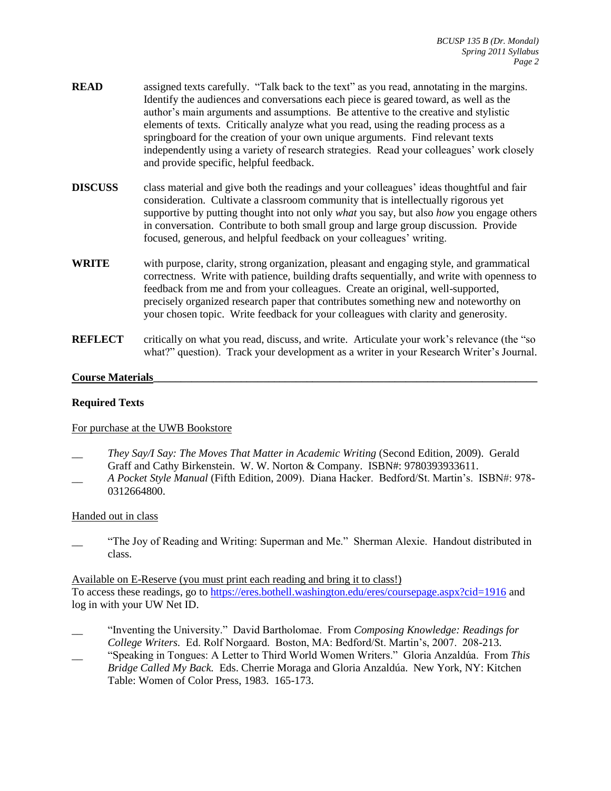- **READ** assigned texts carefully. "Talk back to the text" as you read, annotating in the margins. Identify the audiences and conversations each piece is geared toward, as well as the author's main arguments and assumptions. Be attentive to the creative and stylistic elements of texts. Critically analyze what you read, using the reading process as a springboard for the creation of your own unique arguments. Find relevant texts independently using a variety of research strategies. Read your colleagues' work closely and provide specific, helpful feedback.
- **DISCUSS** class material and give both the readings and your colleagues' ideas thoughtful and fair consideration. Cultivate a classroom community that is intellectually rigorous yet supportive by putting thought into not only *what* you say, but also *how* you engage others in conversation. Contribute to both small group and large group discussion. Provide focused, generous, and helpful feedback on your colleagues' writing.
- **WRITE** with purpose, clarity, strong organization, pleasant and engaging style, and grammatical correctness. Write with patience, building drafts sequentially, and write with openness to feedback from me and from your colleagues. Create an original, well-supported, precisely organized research paper that contributes something new and noteworthy on your chosen topic. Write feedback for your colleagues with clarity and generosity.
- **REFLECT** critically on what you read, discuss, and write. Articulate your work's relevance (the "so what?" question). Track your development as a writer in your Research Writer's Journal.

#### **Course Materials\_\_\_\_\_\_\_\_\_\_\_\_\_\_\_\_\_\_\_\_\_\_\_\_\_\_\_\_\_\_\_\_\_\_\_\_\_\_\_\_\_\_\_\_\_\_\_\_\_\_\_\_\_\_\_\_\_\_\_\_\_\_\_\_\_\_\_\_\_\_**

#### **Required Texts**

#### For purchase at the UWB Bookstore

- \_\_ *They Say/I Say: The Moves That Matter in Academic Writing* (Second Edition, 2009). Gerald Graff and Cathy Birkenstein. W. W. Norton & Company. ISBN#: 9780393933611.
- *\_\_ A Pocket Style Manual* (Fifth Edition, 2009). Diana Hacker. Bedford/St. Martin's. ISBN#: 978- 0312664800.

#### Handed out in class

"The Joy of Reading and Writing: Superman and Me." Sherman Alexie. Handout distributed in class.

Available on E-Reserve (you must print each reading and bring it to class!) To access these readings, go to<https://eres.bothell.washington.edu/eres/coursepage.aspx?cid=1916> and log in with your UW Net ID.

- \_\_ "Inventing the University." David Bartholomae. From *Composing Knowledge: Readings for College Writers.* Ed. Rolf Norgaard. Boston, MA: Bedford/St. Martin's, 2007. 208-213.
- \_\_ "Speaking in Tongues: A Letter to Third World Women Writers." Gloria Anzaldúa. From *This Bridge Called My Back.* Eds. Cherrie Moraga and Gloria Anzaldúa. New York, NY: Kitchen Table: Women of Color Press, 1983. 165-173.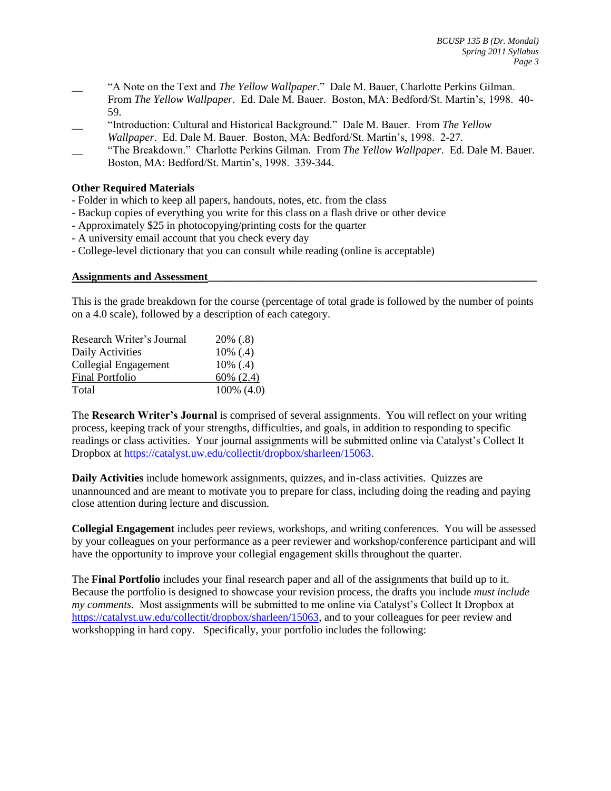- \_\_ "A Note on the Text and *The Yellow Wallpaper*." Dale M. Bauer, Charlotte Perkins Gilman. From *The Yellow Wallpaper*. Ed. Dale M. Bauer. Boston, MA: Bedford/St. Martin's, 1998. 40- 59.
- \_\_ "Introduction: Cultural and Historical Background." Dale M. Bauer. From *The Yellow Wallpaper*. Ed. Dale M. Bauer. Boston, MA: Bedford/St. Martin's, 1998. 2-27.
- \_\_ "The Breakdown." Charlotte Perkins Gilman. From *The Yellow Wallpaper*. Ed. Dale M. Bauer. Boston, MA: Bedford/St. Martin's, 1998. 339-344.

#### **Other Required Materials**

- Folder in which to keep all papers, handouts, notes, etc. from the class
- Backup copies of everything you write for this class on a flash drive or other device
- Approximately \$25 in photocopying/printing costs for the quarter
- A university email account that you check every day
- College-level dictionary that you can consult while reading (online is acceptable)

#### **Assignments and Assessment\_\_\_\_\_\_\_\_\_\_\_\_\_\_\_\_\_\_\_\_\_\_\_\_\_\_\_\_\_\_\_\_\_\_\_\_\_\_\_\_\_\_\_\_\_\_\_\_\_\_\_\_\_\_\_\_\_\_\_\_**

This is the grade breakdown for the course (percentage of total grade is followed by the number of points on a 4.0 scale), followed by a description of each category.

| Research Writer's Journal | $20\%$ (.8)    |
|---------------------------|----------------|
| Daily Activities          | $10\%$ (.4)    |
| Collegial Engagement      | $10\%$ (.4)    |
| <b>Final Portfolio</b>    | $60\%$ $(2.4)$ |
| Total                     | 100% (4.0)     |

The **Research Writer's Journal** is comprised of several assignments. You will reflect on your writing process, keeping track of your strengths, difficulties, and goals, in addition to responding to specific readings or class activities. Your journal assignments will be submitted online via Catalyst's Collect It Dropbox at [https://catalyst.uw.edu/collectit/dropbox/sharleen/15063.](https://catalyst.uw.edu/collectit/dropbox/sharleen/15063)

**Daily Activities** include homework assignments, quizzes, and in-class activities. Quizzes are unannounced and are meant to motivate you to prepare for class, including doing the reading and paying close attention during lecture and discussion.

**Collegial Engagement** includes peer reviews, workshops, and writing conferences. You will be assessed by your colleagues on your performance as a peer reviewer and workshop/conference participant and will have the opportunity to improve your collegial engagement skills throughout the quarter.

The **Final Portfolio** includes your final research paper and all of the assignments that build up to it. Because the portfolio is designed to showcase your revision process, the drafts you include *must include my comments*. Most assignments will be submitted to me online via Catalyst's Collect It Dropbox at [https://catalyst.uw.edu/collectit/dropbox/sharleen/15063,](https://catalyst.uw.edu/collectit/dropbox/sharleen/15063) and to your colleagues for peer review and workshopping in hard copy. Specifically, your portfolio includes the following: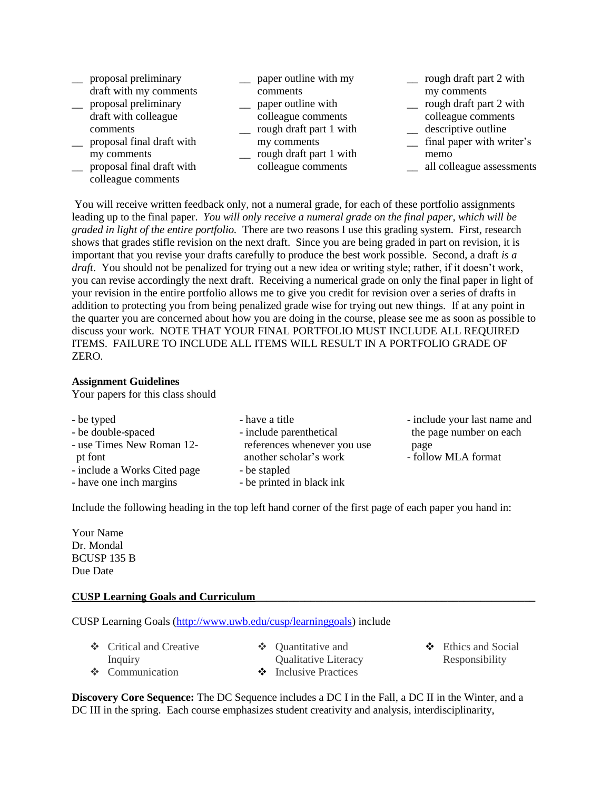\_\_ proposal preliminary

- draft with my comments \_\_ proposal preliminary
- draft with colleague comments
- \_\_ proposal final draft with my comments
- \_\_ proposal final draft with colleague comments
- \_\_ paper outline with my comments
- \_\_ paper outline with colleague comments
- \_\_ rough draft part 1 with my comments
- \_\_ rough draft part 1 with colleague comments
- \_\_ rough draft part 2 with my comments
- \_\_ rough draft part 2 with colleague comments
- \_\_ descriptive outline
- \_\_ final paper with writer's memo
- \_\_ all colleague assessments

You will receive written feedback only, not a numeral grade, for each of these portfolio assignments leading up to the final paper. *You will only receive a numeral grade on the final paper, which will be graded in light of the entire portfolio.* There are two reasons I use this grading system. First, research shows that grades stifle revision on the next draft. Since you are being graded in part on revision, it is important that you revise your drafts carefully to produce the best work possible. Second, a draft *is a draft*. You should not be penalized for trying out a new idea or writing style; rather, if it doesn't work, you can revise accordingly the next draft. Receiving a numerical grade on only the final paper in light of your revision in the entire portfolio allows me to give you credit for revision over a series of drafts in addition to protecting you from being penalized grade wise for trying out new things. If at any point in the quarter you are concerned about how you are doing in the course, please see me as soon as possible to discuss your work. NOTE THAT YOUR FINAL PORTFOLIO MUST INCLUDE ALL REQUIRED ITEMS. FAILURE TO INCLUDE ALL ITEMS WILL RESULT IN A PORTFOLIO GRADE OF ZERO.

#### **Assignment Guidelines**

Your papers for this class should

| - be typed                   | - have a title              | - include your last name and |
|------------------------------|-----------------------------|------------------------------|
| - be double-spaced           | - include parenthetical     | the page number on each      |
| - use Times New Roman 12-    | references whenever you use | page                         |
| pt font                      | another scholar's work      | - follow MLA format          |
| - include a Works Cited page | - be stapled                |                              |
| - have one inch margins      | - be printed in black ink   |                              |

Include the following heading in the top left hand corner of the first page of each paper you hand in:

Your Name Dr. Mondal BCUSP 135 B Due Date

#### **CUSP Learning Goals and Curriculum\_\_\_\_\_\_\_\_\_\_\_\_\_\_\_\_\_\_\_\_\_\_\_\_\_\_\_\_\_\_\_\_\_\_\_\_\_\_\_\_\_\_\_\_\_\_\_\_\_\_\_**

CUSP Learning Goals [\(http://www.uwb.edu/cusp/learninggoals\)](http://www.uwb.edu/cusp/learninggoals) include

- Critical and Creative Inquiry ❖ Communication
- $\triangleleft$  Ouantitative and Qualitative Literacy
- Inclusive Practices
- $\div$  Ethics and Social Responsibility

**Discovery Core Sequence:** The DC Sequence includes a DC I in the Fall, a DC II in the Winter, and a DC III in the spring. Each course emphasizes student creativity and analysis, interdisciplinarity,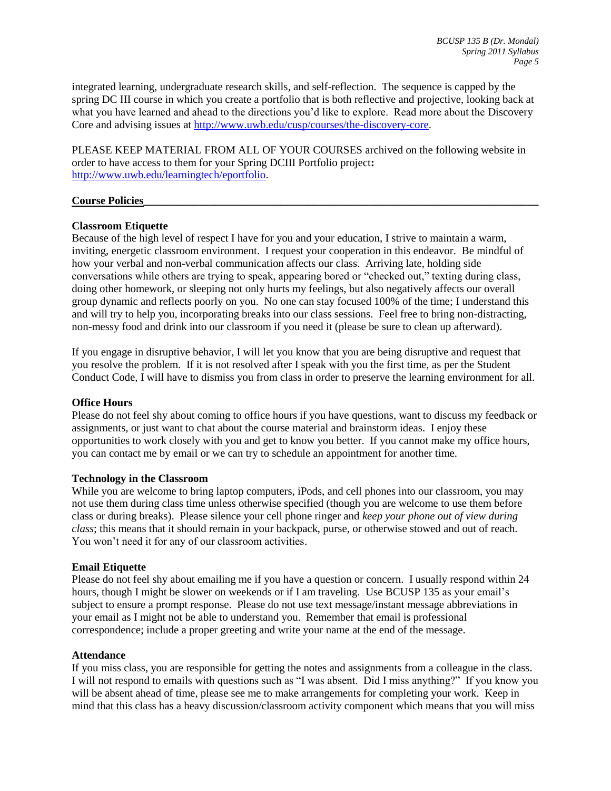integrated learning, undergraduate research skills, and self-reflection. The sequence is capped by the spring DC III course in which you create a portfolio that is both reflective and projective, looking back at what you have learned and ahead to the directions you'd like to explore. Read more about the Discovery Core and advising issues at [http://www.uwb.edu/cusp/courses/the-discovery-core.](http://www.uwb.edu/cusp/courses/the-discovery-core)

PLEASE KEEP MATERIAL FROM ALL OF YOUR COURSES archived on the following website in order to have access to them for your Spring DCIII Portfolio project**:** [http://www.uwb.edu/learningtech/eportfolio.](http://www.uwb.edu/learningtech/eportfolio)

#### **Course Policies\_\_\_\_\_\_\_\_\_\_\_\_\_\_\_\_\_\_\_\_\_\_\_\_\_\_\_\_\_\_\_\_\_\_\_\_\_\_\_\_\_\_\_\_\_\_\_\_\_\_\_\_\_\_\_\_\_\_\_\_\_\_\_\_\_\_\_\_\_\_\_\_**

#### **Classroom Etiquette**

Because of the high level of respect I have for you and your education, I strive to maintain a warm, inviting, energetic classroom environment. I request your cooperation in this endeavor. Be mindful of how your verbal and non-verbal communication affects our class. Arriving late, holding side conversations while others are trying to speak, appearing bored or "checked out," texting during class, doing other homework, or sleeping not only hurts my feelings, but also negatively affects our overall group dynamic and reflects poorly on you. No one can stay focused 100% of the time; I understand this and will try to help you, incorporating breaks into our class sessions. Feel free to bring non-distracting, non-messy food and drink into our classroom if you need it (please be sure to clean up afterward).

If you engage in disruptive behavior, I will let you know that you are being disruptive and request that you resolve the problem. If it is not resolved after I speak with you the first time, as per the Student Conduct Code, I will have to dismiss you from class in order to preserve the learning environment for all.

#### **Office Hours**

Please do not feel shy about coming to office hours if you have questions, want to discuss my feedback or assignments, or just want to chat about the course material and brainstorm ideas. I enjoy these opportunities to work closely with you and get to know you better. If you cannot make my office hours, you can contact me by email or we can try to schedule an appointment for another time.

#### **Technology in the Classroom**

While you are welcome to bring laptop computers, iPods, and cell phones into our classroom, you may not use them during class time unless otherwise specified (though you are welcome to use them before class or during breaks). Please silence your cell phone ringer and *keep your phone out of view during class*; this means that it should remain in your backpack, purse, or otherwise stowed and out of reach. You won't need it for any of our classroom activities.

#### **Email Etiquette**

Please do not feel shy about emailing me if you have a question or concern. I usually respond within 24 hours, though I might be slower on weekends or if I am traveling. Use BCUSP 135 as your email's subject to ensure a prompt response. Please do not use text message/instant message abbreviations in your email as I might not be able to understand you. Remember that email is professional correspondence; include a proper greeting and write your name at the end of the message.

#### **Attendance**

If you miss class, you are responsible for getting the notes and assignments from a colleague in the class. I will not respond to emails with questions such as "I was absent. Did I miss anything?" If you know you will be absent ahead of time, please see me to make arrangements for completing your work. Keep in mind that this class has a heavy discussion/classroom activity component which means that you will miss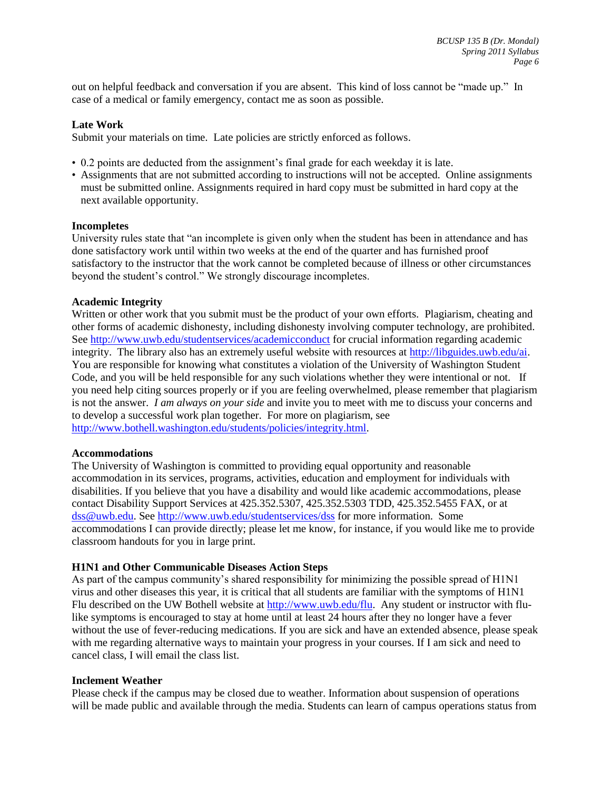out on helpful feedback and conversation if you are absent. This kind of loss cannot be "made up." In case of a medical or family emergency, contact me as soon as possible.

#### **Late Work**

Submit your materials on time. Late policies are strictly enforced as follows.

- 0.2 points are deducted from the assignment's final grade for each weekday it is late.
- Assignments that are not submitted according to instructions will not be accepted. Online assignments must be submitted online. Assignments required in hard copy must be submitted in hard copy at the next available opportunity.

#### **Incompletes**

University rules state that "an incomplete is given only when the student has been in attendance and has done satisfactory work until within two weeks at the end of the quarter and has furnished proof satisfactory to the instructor that the work cannot be completed because of illness or other circumstances beyond the student's control." We strongly discourage incompletes.

# **Academic Integrity**

Written or other work that you submit must be the product of your own efforts. Plagiarism, cheating and other forms of academic dishonesty, including dishonesty involving computer technology, are prohibited. See<http://www.uwb.edu/studentservices/academicconduct> for crucial information regarding academic integrity. The library also has an extremely useful website with resources at [http://libguides.uwb.edu/ai.](http://libguides.uwb.edu/ai) You are responsible for knowing what constitutes a violation of the University of Washington Student Code, and you will be held responsible for any such violations whether they were intentional or not. If you need help citing sources properly or if you are feeling overwhelmed, please remember that plagiarism is not the answer. *I am always on your side* and invite you to meet with me to discuss your concerns and to develop a successful work plan together. For more on plagiarism, see [http://www.bothell.washington.edu/students/policies/integrity.html.](http://www.bothell.washington.edu/students/policies/integrity.html)

#### **Accommodations**

The University of Washington is committed to providing equal opportunity and reasonable accommodation in its services, programs, activities, education and employment for individuals with disabilities. If you believe that you have a disability and would like academic accommodations, please contact Disability Support Services at 425.352.5307, 425.352.5303 TDD, 425.352.5455 FAX, or at [dss@uwb.edu.](mailto:rlundborg@uwb.edu) See<http://www.uwb.edu/studentservices/dss> for more information. Some accommodations I can provide directly; please let me know, for instance, if you would like me to provide classroom handouts for you in large print.

# **H1N1 and Other Communicable Diseases Action Steps**

As part of the campus community's shared responsibility for minimizing the possible spread of H1N1 virus and other diseases this year, it is critical that all students are familiar with the symptoms of H1N1 Flu described on the UW Bothell website at [http://www.uwb.edu/flu.](http://www.uwb.edu/flu) Any student or instructor with flulike symptoms is encouraged to stay at home until at least 24 hours after they no longer have a fever without the use of fever-reducing medications. If you are sick and have an extended absence, please speak with me regarding alternative ways to maintain your progress in your courses. If I am sick and need to cancel class, I will email the class list.

#### **Inclement Weather**

Please check if the campus may be closed due to weather. Information about suspension of operations will be made public and available through the media. Students can learn of campus operations status from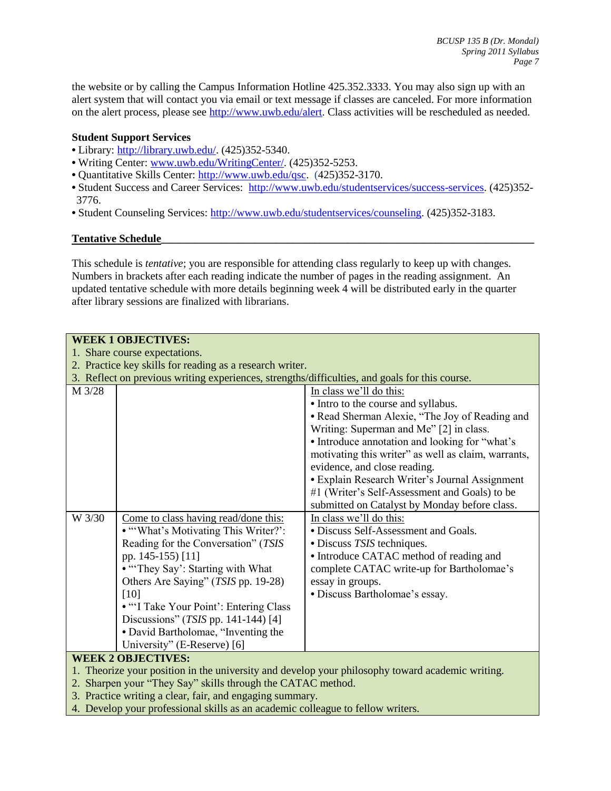the website or by calling the Campus Information Hotline 425.352.3333. You may also sign up with an alert system that will contact you via email or text message if classes are canceled. For more information on the alert process, please see [http://www.uwb.edu/alert.](http://www.uwb.edu/alert) Class activities will be rescheduled as needed.

# **Student Support Services**

- Library: [http://library.uwb.edu/.](http://library.uwb.edu/) (425)352-5340.
- Writing Center: [www.uwb.edu/WritingCenter/.](http://www.uwb.edu/WritingCenter/) (425)352-5253.
- Quantitative Skills Center: [http://www.uwb.edu/qsc.](http://www.uwb.edu/qsc) (425)352-3170.
- Student Success and Career Services:[http://www.uwb.edu/studentservices/success-services.](http://www.uwb.edu/studentservices/success-services) (425)352- 3776.
- Student Counseling Services: [http://www.uwb.edu/studentservices/counseling.](http://www.uwb.edu/studentservices/counseling) (425)352-3183.

# **Tentative Schedule\_\_\_\_\_\_\_\_\_\_\_\_\_\_\_\_\_\_\_\_\_\_\_\_\_\_\_\_\_\_\_\_\_\_\_\_\_\_\_\_\_\_\_\_\_\_\_\_\_\_\_\_\_\_\_\_\_\_\_\_\_\_\_\_\_\_\_\_**

This schedule is *tentative*; you are responsible for attending class regularly to keep up with changes. Numbers in brackets after each reading indicate the number of pages in the reading assignment. An updated tentative schedule with more details beginning week 4 will be distributed early in the quarter after library sessions are finalized with librarians.

|                               | <b>WEEK 1 OBJECTIVES:</b>                                                                      |                                                     |  |
|-------------------------------|------------------------------------------------------------------------------------------------|-----------------------------------------------------|--|
| 1. Share course expectations. |                                                                                                |                                                     |  |
|                               | 2. Practice key skills for reading as a research writer.                                       |                                                     |  |
|                               | 3. Reflect on previous writing experiences, strengths/difficulties, and goals for this course. |                                                     |  |
| M 3/28                        |                                                                                                | In class we'll do this:                             |  |
|                               |                                                                                                | • Intro to the course and syllabus.                 |  |
|                               |                                                                                                | • Read Sherman Alexie, "The Joy of Reading and      |  |
|                               |                                                                                                | Writing: Superman and Me" [2] in class.             |  |
|                               |                                                                                                | • Introduce annotation and looking for "what's      |  |
|                               |                                                                                                | motivating this writer" as well as claim, warrants, |  |
|                               |                                                                                                | evidence, and close reading.                        |  |
|                               |                                                                                                | · Explain Research Writer's Journal Assignment      |  |
|                               |                                                                                                | #1 (Writer's Self-Assessment and Goals) to be       |  |
|                               |                                                                                                | submitted on Catalyst by Monday before class.       |  |
| W 3/30                        | Come to class having read/done this:                                                           | In class we'll do this:                             |  |
|                               | • "What's Motivating This Writer?":                                                            | • Discuss Self-Assessment and Goals.                |  |
|                               | Reading for the Conversation" (TSIS                                                            | • Discuss <i>TSIS</i> techniques.                   |  |
|                               | pp. 145-155) [11]                                                                              | • Introduce CATAC method of reading and             |  |
|                               | • "They Say': Starting with What                                                               | complete CATAC write-up for Bartholomae's           |  |
|                               | Others Are Saying" (TSIS pp. 19-28)                                                            | essay in groups.                                    |  |
|                               | [10]                                                                                           | • Discuss Bartholomae's essay.                      |  |
|                               | • "I Take Your Point': Entering Class                                                          |                                                     |  |
|                               | Discussions" (TSIS pp. 141-144) [4]                                                            |                                                     |  |
|                               | · David Bartholomae, "Inventing the                                                            |                                                     |  |
|                               | University" (E-Reserve) [6]                                                                    |                                                     |  |
|                               | <b>WEEK 2 OBJECTIVES:</b>                                                                      |                                                     |  |

- 1. Theorize your position in the university and develop your philosophy toward academic writing.
- 2. Sharpen your "They Say" skills through the CATAC method.
- 3. Practice writing a clear, fair, and engaging summary.
- 4. Develop your professional skills as an academic colleague to fellow writers.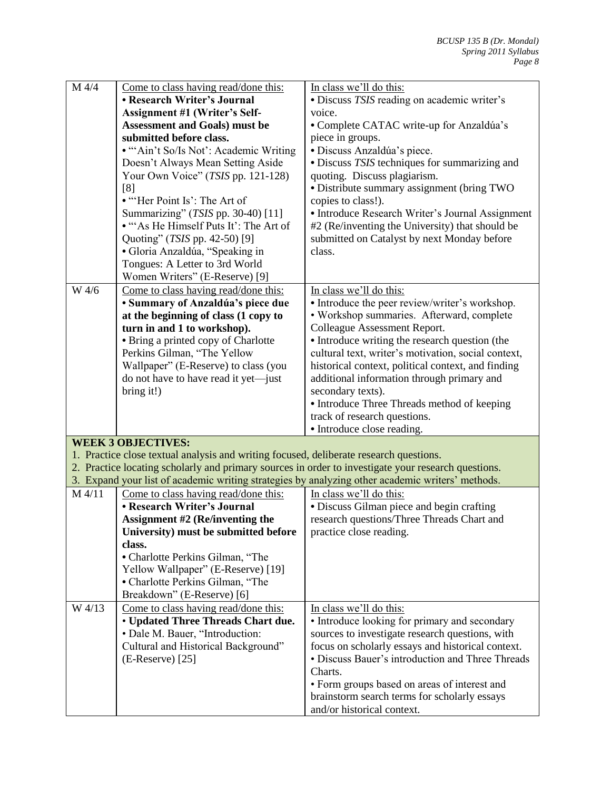| M 4/4  | Come to class having read/done this:<br>• Research Writer's Journal                    | In class we'll do this:                                                                             |
|--------|----------------------------------------------------------------------------------------|-----------------------------------------------------------------------------------------------------|
|        |                                                                                        | · Discuss TSIS reading on academic writer's                                                         |
|        | Assignment #1 (Writer's Self-                                                          | voice.                                                                                              |
|        | <b>Assessment and Goals) must be</b><br>submitted before class.                        | • Complete CATAC write-up for Anzaldúa's<br>piece in groups.                                        |
|        | • "'Ain't So/Is Not': Academic Writing                                                 |                                                                                                     |
|        | Doesn't Always Mean Setting Aside                                                      | · Discuss Anzaldúa's piece.                                                                         |
|        | Your Own Voice" (TSIS pp. 121-128)                                                     | • Discuss TSIS techniques for summarizing and<br>quoting. Discuss plagiarism.                       |
|        | [8]                                                                                    | · Distribute summary assignment (bring TWO                                                          |
|        | • "Her Point Is': The Art of                                                           | copies to class!).                                                                                  |
|        | Summarizing" (TSIS pp. 30-40) [11]                                                     | • Introduce Research Writer's Journal Assignment                                                    |
|        | • "As He Himself Puts It': The Art of                                                  | #2 (Re/inventing the University) that should be                                                     |
|        | Quoting" (TSIS pp. 42-50) [9]                                                          | submitted on Catalyst by next Monday before                                                         |
|        | · Gloria Anzaldúa, "Speaking in                                                        | class.                                                                                              |
|        | Tongues: A Letter to 3rd World                                                         |                                                                                                     |
|        | Women Writers" (E-Reserve) [9]                                                         |                                                                                                     |
| W 4/6  | Come to class having read/done this:                                                   | In class we'll do this:                                                                             |
|        | · Summary of Anzaldúa's piece due                                                      | • Introduce the peer review/writer's workshop.                                                      |
|        | at the beginning of class (1 copy to                                                   | • Workshop summaries. Afterward, complete                                                           |
|        | turn in and 1 to workshop).                                                            | Colleague Assessment Report.                                                                        |
|        | • Bring a printed copy of Charlotte                                                    | • Introduce writing the research question (the                                                      |
|        | Perkins Gilman, "The Yellow                                                            | cultural text, writer's motivation, social context,                                                 |
|        | Wallpaper" (E-Reserve) to class (you                                                   | historical context, political context, and finding                                                  |
|        | do not have to have read it yet—just                                                   | additional information through primary and                                                          |
|        | bring it!)                                                                             | secondary texts).                                                                                   |
|        |                                                                                        | • Introduce Three Threads method of keeping                                                         |
|        |                                                                                        | track of research questions.                                                                        |
|        |                                                                                        | • Introduce close reading.                                                                          |
|        | <b>WEEK 3 OBJECTIVES:</b>                                                              |                                                                                                     |
|        | 1. Practice close textual analysis and writing focused, deliberate research questions. |                                                                                                     |
|        |                                                                                        | 2. Practice locating scholarly and primary sources in order to investigate your research questions. |
|        |                                                                                        | 3. Expand your list of academic writing strategies by analyzing other academic writers' methods.    |
| M 4/11 | Come to class having read/done this:                                                   | In class we'll do this:                                                                             |
|        | • Research Writer's Journal                                                            | • Discuss Gilman piece and begin crafting                                                           |
|        | Assignment #2 (Re/inventing the                                                        | research questions/Three Threads Chart and                                                          |
|        | University) must be submitted before                                                   | practice close reading.                                                                             |
|        | class.                                                                                 |                                                                                                     |
|        | • Charlotte Perkins Gilman, "The                                                       |                                                                                                     |
|        | Yellow Wallpaper" (E-Reserve) [19]                                                     |                                                                                                     |
|        | • Charlotte Perkins Gilman, "The                                                       |                                                                                                     |
|        | Breakdown" (E-Reserve) [6]                                                             |                                                                                                     |
| W 4/13 | Come to class having read/done this:                                                   | In class we'll do this:                                                                             |
|        | • Updated Three Threads Chart due.                                                     | • Introduce looking for primary and secondary                                                       |
|        | • Dale M. Bauer, "Introduction:                                                        | sources to investigate research questions, with                                                     |
|        | Cultural and Historical Background"                                                    | focus on scholarly essays and historical context.                                                   |
|        | $(E\text{-}Reserve)$ [25]                                                              | • Discuss Bauer's introduction and Three Threads                                                    |
|        |                                                                                        | Charts.                                                                                             |
|        |                                                                                        | • Form groups based on areas of interest and                                                        |
|        |                                                                                        | brainstorm search terms for scholarly essays                                                        |
|        |                                                                                        | and/or historical context.                                                                          |